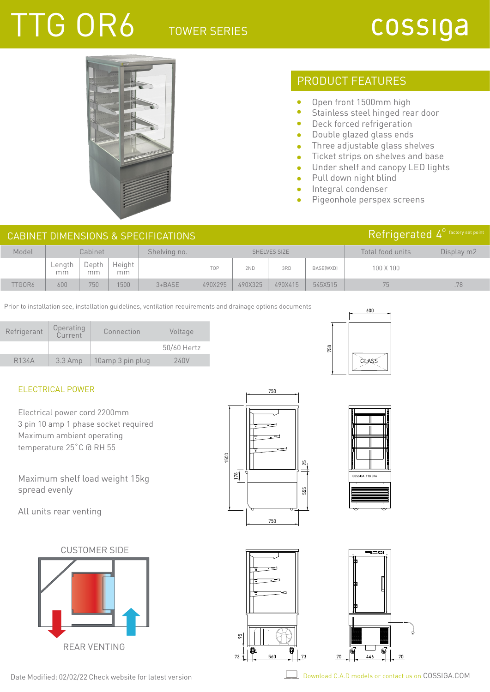### TOWER SERIES

# TTG OR6

### cossiga



### PRODUCT FEATURES

- $\bullet$ Open front 1500mm high
- $\bullet$ Stainless steel hinged rear door
- Deck forced refrigeration  $\bullet$
- Double glazed glass ends  $\bullet$
- Three adjustable glass shelves  $\bullet$
- Ticket strips on shelves and base  $\bullet$
- Under shelf and canopy LED lights  $\bullet$
- $\bullet$ Pull down night blind
- Integral condenser  $\bullet$

750

Pigeonhole perspex screens  $\bullet$ 

600

GLAS

| CABINET DIMENSIONS & SPECIFICATIONS |              |             |              |              |              |         |         |           | Refrigerated 4 <sup>0</sup> factory set point |            |
|-------------------------------------|--------------|-------------|--------------|--------------|--------------|---------|---------|-----------|-----------------------------------------------|------------|
| Model                               |              | Cabinet     |              | Shelving no. | SHELVES SIZE |         |         |           | Total food units                              | Display m2 |
|                                     | _ength<br>mm | Depth<br>mm | Height<br>mm |              | <b>TOP</b>   | 2ND     | 3RD     | BASE(WXD) | 100 X 100                                     |            |
| TTGOR6                              | 600          | 750         | 1500         | $3 + BASE$   | 490X295      | 490X325 | 490X415 | 545X515   | 75                                            | .78        |

Prior to installation see, installation guidelines, ventilation requirements and drainage options documents

| Refrigerant        | Operating<br>Current | Connection       | Voltage     |
|--------------------|----------------------|------------------|-------------|
|                    |                      |                  | 50/60 Hertz |
| R <sub>134</sub> A | $3.3$ Amp            | 10amp 3 pin plug | 240V        |

#### ELECTRICAL POWER

Electrical power cord 2200mm 3 pin 10 amp 1 phase socket required Maximum ambient operating temperature 25˚C @ RH 55

Maximum shelf load weight 15kg spread evenly

All units rear venting

CUSTOMER SIDE









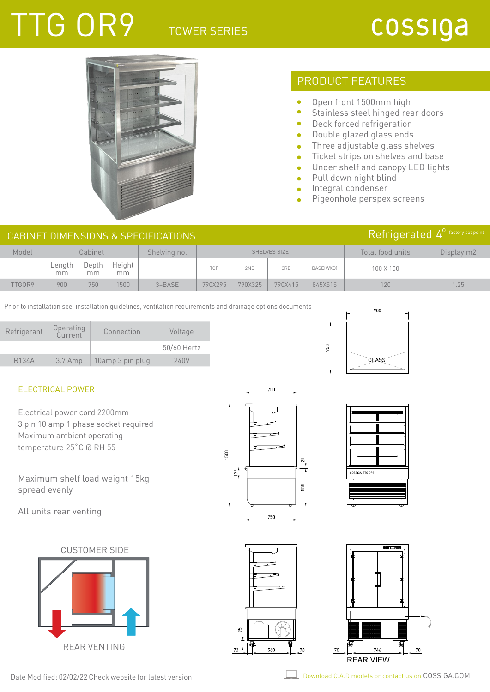### TOWER SERIES

# TTG OR9

### cossiga



### PRODUCT FEATURES

- $\bullet$ Open front 1500mm high
- $\bullet$ Stainless steel hinged rear doors
- $\bullet$ Deck forced refrigeration
- Double glazed glass ends  $\bullet$
- Three adjustable glass shelves  $\bullet$
- Ticket strips on shelves and base  $\bullet$
- Under shelf and canopy LED lights  $\bullet$
- Pull down night blind  $\bullet$
- Integral condenser  $\bullet$

50

Pigeonhole perspex screens Ä

| CABINET DIMENSIONS & SPECIFICATIONS |              |             |              |              |              |         |         |           | Refrigerated 4 <sup>0</sup> factory set point |            |
|-------------------------------------|--------------|-------------|--------------|--------------|--------------|---------|---------|-----------|-----------------------------------------------|------------|
| Model                               |              | Cabinet     |              | Shelving no. | SHELVES SIZE |         |         |           | Total food units                              | Display m2 |
|                                     | ∟ength<br>mm | Depth<br>mm | Height<br>mm |              | <b>TOP</b>   | 2ND     | 3RD     | BASE(WXD) | 100 X 100                                     |            |
| TTGOR9                              | 900          | 750         | 500          | $3 + BASE$   | 790X295      | 790X325 | 790X415 | 845X515   | 120                                           | 1.25       |

Prior to installation see, installation guidelines, ventilation requirements and drainage options documents

| Refrigerant        | Operating<br>Current | Connection       | Voltage     |
|--------------------|----------------------|------------------|-------------|
|                    |                      |                  | 50/60 Hertz |
| R <sub>134</sub> A | $3.7$ Amp            | 10amp 3 pin plug | 240V        |

#### ELECTRICAL POWER

Electrical power cord 2200mm 3 pin 10 amp 1 phase socket required Maximum ambient operating temperature 25˚C @ RH 55

Maximum shelf load weight 15kg spread evenly

All units rear venting

CUSTOMER SIDE









900

**GLASS** 



| Date Modified: 02/02/22 Check website for latest version |  |  |
|----------------------------------------------------------|--|--|